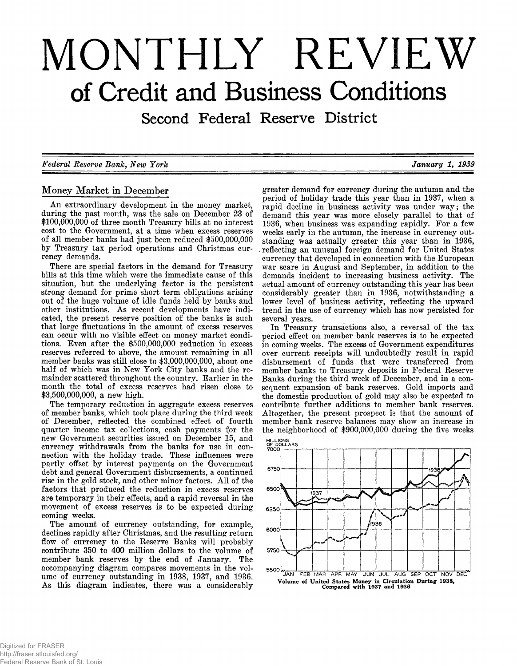# MONTHLY REVIEW of Credit and Business Conditions

Second Federal Reserve District

*F ed era l E eserv e B a n k , N ew Y o rk J a n u a ry 1, 1939*

# **Money Market in December**

An extraordinary development in the money market, **during the past month, was the sale on December 23 of \$100,000,000 of three month Treasury bills at no interest cost to the Government, at a time when excess reserves of all member banks had just been reduced \$500,000,000 by Treasury tax period operations and Christmas currency demands.**

**There are special factors in the demand for Treasury bills at this time which were the immediate cause of this situation, but the underlying factor is the persistent strong demand for prime short term obligations arising out of the huge volume of idle funds held by banks and** other institutions. As recent developments have indi**cated, the present reserve position of the banks is such that large fluctuations in the amount of excess reserves can occur with no visible effect on money market conditions. Even after the \$500,000,000 reduction in excess reserves referred to above, the amount remaining in all member banks was still close to \$3,000,000,000, about one half of which was in New York City banks and the remainder scattered throughout the country. Earlier in the month the total of excess reserves had risen close to \$3,500,000,000, a new high.**

**The temporary reduction in aggregate excess reserves of member banks, which took place during the third week of December, reflected the combined effect of fourth quarter income tax collections, cash payments for the new Government securities issued on December 15, and currency withdrawals from the banks for use in connection with the holiday trade. These influences were partly offset by interest payments on the Government debt and general Government disbursements, a continued** rise in the gold stock, and other minor factors. All of the **factors that produced the reduction in excess reserves are temporary in their effects, and a rapid reversal in the movement of excess reserves is to be expected during coming weeks.**

**The amount of currency outstanding, for example, declines rapidly after Christmas, and the resulting return flow of currency to the Reserve Banks will probably contribute 350 to 400 million dollars to the volume of member bank reserves by the end of January. The accompanying diagram compares movements in the volume of currency outstanding in 1938, 1937, and 1936.** As this diagram indicates, there was a considerably

**greater demand for currency during the autumn and the period of holiday trade this year than in 1937, when a** rapid decline in business activity was under way; the **demand this year was more closely parallel to that of 1936, when business was expanding rapidly. For a few weeks early in the autumn, the increase in currency outstanding was actually greater this year than in 1936, reflecting an unusual foreign demand for United States currency that developed in connection with the European war scare in August and September, in addition to the demands incident to increasing business activity. The actual amount of currency outstanding this year has been considerably greater than in 1936, notwithstanding a lower level of business activity, reflecting the upward trend in the use of currency which has now persisted for several years.**

**In Treasury transactions also, a reversal of the tax period effect on member bank reserves is to be expected in coming weeks. The excess of Government expenditures over current receipts will undoubtedly result in rapid disbursement of funds that were transferred from member banks to Treasury deposits in Federal Reserve Banks during the third week of December, and in a consequent expansion of bank reserves. Gold imports and the domestic production of gold may also be expected to contribute further additions to member bank reserves. Altogether, the present prospect is that the amount of member bank reserve balances may show an increase in the neighborhood of \$900,000,000 during the five weeks**

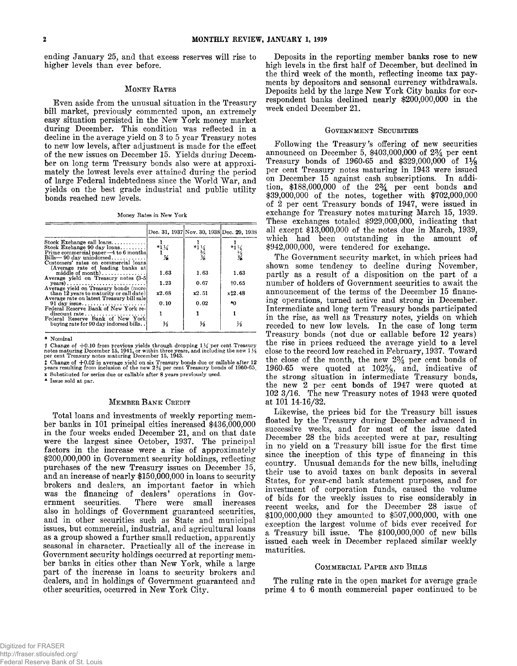**ending January 25, and that excess reserves will rise to higher levels than ever before.**

#### **MONEY RATES**

**Even aside from the unusual situation in the Treasury bill market, previously commented upon, an extremely easy situation persisted in the New York money market during December. This condition was reflected in a decline in the average yield on 3 to 5 year Treasury notes to new low levels, after adjustment is made for the effect of the new issues on December 15. Yields during December on long term Treasury bonds also were at approximately the lowest levels ever attained during the period** of large Federal indebtedness since the World War, and **yields on the best grade industrial and public utility bonds reached new levels.**

**Money Rates in New York**

|                                                                                                                                                |                      | Dec. 31, 1937 Nov. 30, 1938 Dec. 29, 1938             |                                                       |
|------------------------------------------------------------------------------------------------------------------------------------------------|----------------------|-------------------------------------------------------|-------------------------------------------------------|
| Stock Exchange call $\log$ ns<br>Stock Exchange 90 day $\log_{10}$<br>Prime commercial paper—4 to 6 months<br>$Bills - 90$ day unindorsed      | $*1\frac{1}{4}$<br>Х | $*1\frac{1}{5}$<br>$*1\frac{1}{5}$<br>$*3\frac{1}{5}$ | $*1\frac{1}{4}$<br>$*2\frac{5}{8}$<br>$*3\frac{1}{8}$ |
| Customers' rates on commercial loans<br>(Average rate of leading banks at<br>middle of month)<br>Average yield on Treasury notes (3-5)         | 1.63                 | 1.63                                                  | 1.63                                                  |
| $years) \ldots \ldots \ldots \ldots \ldots \ldots \ldots$<br>Average vield on Treasury bonds (more)<br>than 12 years to maturity or call date) | 1.23<br>x2.68        | 0.67<br>x2.51                                         | 10.65<br>x12.48                                       |
| Average rate on latest Treasury bill sale<br>Federal Reserve Bank of New York re-                                                              | 0.10                 | 0.02                                                  | ۰Λ                                                    |
| discount rate                                                                                                                                  |                      |                                                       |                                                       |
| Federal Reserve Bank of New York<br>buying rate for 90 day indorsed bills                                                                      | ⅓                    | ⅓                                                     | ⅓                                                     |

**\* Nominal**

† Change of +0.10 from previous yields through dropping 1½ per cent Treasury<br>notes maturing December 15, 1941, or within three years, and including the new 1½<br>per cent Treasury notes maturing December 15, 1943.

*t* **Change of + 0 .0 2 in average yield on six Treasury bonds due or callable after 12 years resulting from inclusion of the new 2 % per cent Treasury bonds of 1960-65. x Substituted for series due or callable after 8 years previously used.**

**A Issue sold at par.**

#### **MEMBER BANK CREDIT**

**Total loans and investments of weekly reporting member banks in 101 principal cities increased \$436,000,000 in the four weeks ended December 21, and on that date were the largest since October, 1937. The principal factors in the increase were a rise of approximately \$200,000,000 in Government security holdings, reflecting purchases of the new Treasury issues on December 15, and an increase of nearly \$150,000,000 in loans to security brokers and dealers, an important factor in which was the financing of dealers' operations in Government securities. There were small increases also in holdings of Government guaranteed securities, and in other securities such as State and municipal issues, but commercial, industrial, and agricultural loans as a group showed a further small reduction, apparently seasonal in character. Practically all of the increase in Government security holdings occurred at reporting member banks in cities other than New York, while a large part of the increase in loans to security brokers and dealers, and in holdings of Government guaranteed and other securities, occurred in New York City.**

**Deposits in the reporting member banks rose to new high levels in the first half of December, but declined in the third week of the month, reflecting income tax payments by depositors and seasonal currency withdrawals. Deposits held by the large New York City banks for correspondent banks declined nearly \$200,000,000 in the week ended December 21.**

#### **GOVERNMENT SECURITIES**

**Following the Treasury's offering of new securities** announced on December 5, \$403,000,000 of 2<sup>3</sup>/<sub>4</sub> per cent **Treasury bonds of 1960-65 and \$329,000,000 of 1** *Ys* **per cent Treasury notes maturing in 1943 were issued on December 15 against cash subscriptions. In addition, \$188,000,000 of the** *2 %* **per cent bonds and \$39,000,000 of the notes, together with \$702,000,000 of 2 per cent Treasury bonds of 1947, were issued in exchange for Treasury notes maturing March 15, 1939. These exchanges totaled \$929,000,000, indicating that all except \$13,000,000 of the notes due in March, 1939, which had been outstanding in the amount of \$942,000,000, were tendered for exchange.**

**The Government security market, in which prices had shown some tendency to decline during November, partly as a result of a disposition on the part of a number of holders of Government securities to await the announcement of the terms of the December 15 financing operations, turned active and strong in December. Intermediate and long term Treasury bonds participated in the rise, as well as Treasury notes, yields on which receded to new low levels. In the case of long term Treasury bonds (not due or callable before 12 years) the rise in prices reduced the average yield to a level close to the record low reached in February, 1937. Toward the close of the month, the new** *2 %* **per cent bonds of** 1960-65 were quoted at 102<sup>5</sup>/<sub>8</sub>, and, indicative of **the strong situation in intermediate Treasury bonds, the new 2 per cent bonds of 1947 were quoted at** 102 3/16. The new Treasury notes of 1943 were quoted **at 101 14-16/32.**

**Likewise, the prices bid for the Treasury bill issues floated by the Treasury during December advanced in successive weeks, and for most of the issue dated December 28 the bids accepted were at par, resulting in no yield on a Treasury bill issue for the first time since the inception of this type of financing in this country. Unusual demands for the new bills, including their use to avoid taxes on bank deposits in several States, for year-end bank statement purposes, and for investment of corporation funds, caused the volume of bids for the weekly issues to rise considerably in recent weeks, and for the December 28 issue of \$100,000,000 they amounted to \$507,000,000, with one exception the largest volume of bids ever received for a Treasury bill issue. The \$100,000,000 of new bills issued each week in December replaced similar weekly maturities.**

#### **COMMERCIAL PAPER AND BILLS**

**The ruling rate in the open market for average grade prime 4 to 6 month commercial paper continued to be**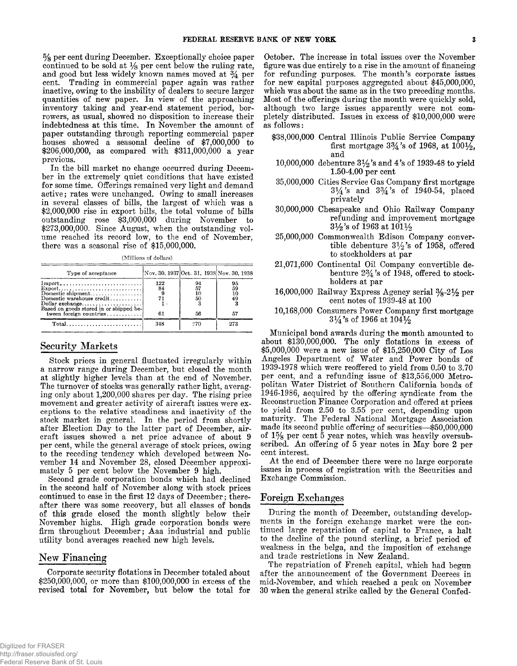**% per cent during December. Exceptionally choice paper continued to be sold at % per cent below the ruling rate,** and good but less widely known names moved at  $\frac{3}{4}$  per **cent. Trading in commercial paper again was rather inactive, owing to the inability of dealers to secure larger quantities of new paper. In view of the approaching inventory taking and year-end statement period, borrowers, as usual, showed no disposition to increase their indebtedness at this time. In November the amount of paper outstanding through reporting commercial paper houses showed a seasonal decline of \$7,000,000 to \$206,000,000, as compared with \$311,000,000 a year previous.**

**In the bill market no change occurred during December in the extremely quiet conditions that have existed for some time. Offerings remained very light and demand active; rates were unchanged. Owing to small increases in several classes of bills, the largest of which was a \$2,000,000 rise in export bills, the total volume of bills outstanding rose \$3,000,000 during November to \$273,000,000. Since August, when the outstanding volume reached its record low, to the end of November, there was a seasonal rise of \$15,000,000.**

**(Millions of dollars)**

| Type of acceptance                                         | Nov. 30, 1937 Oct. 31, 1938 Nov. 30, 1938 |                      |                      |  |
|------------------------------------------------------------|-------------------------------------------|----------------------|----------------------|--|
| $Import$<br>Domestic shipment<br>Domestic warehouse credit | 122<br>84                                 | 94<br>57<br>10<br>50 | 95<br>59<br>10<br>49 |  |
| tween foreign countries                                    | 61                                        | 56                   | 57                   |  |
| $Total$                                                    | 348                                       | 270                  | 273                  |  |

# **Security Markets**

**Stock prices in general fluctuated irregularly within a narrow range during December, but closed the month at slightly higher levels than at the end of November. The turnover of stocks was generally rather light, averaging only about 1,200,000 shares per day. The rising price movement and greater activity of aircraft issues were exceptions to the relative steadiness and inactivity of the stock market in general. In the period from shortly after Election Day to the latter part of December, aircraft issues showed a net price advance of about 9 per cent, while the general average of stock prices, owing to the receding tendency which developed between November 14 and November 28, closed December approximately 5 per cent below the November 9 high.**

**Second grade corporation bonds which had declined in the second half of November along with stock prices continued to ease in the first 12 days of December; thereafter there was some recovery, but all classes of bonds of this grade closed the month slightly below their** November highs. High grade corporation bonds were **firm throughout December; Aaa industrial and public utility bond averages reached new high levels.**

# **New Financing**

**Corporate security flotations in December totaled about \$250,000,000, or more than \$100,000,000 in excess of the revised total for November, but below the total for**

**October. The increase in total issues over the November figure was due entirely to a rise in the amount of financing for refunding purposes. The month's corporate issues for new capital purposes aggregated about \$45,000,000, which was about the same as in the two preceding months. Most of the offerings during the month were quickly sold, although two large issues apparently were not completely distributed. Issues in excess of \$10,000,000 were** as follows:

- **\$38,000,000 Central Illinois Public Service Company** first mortgage  $3\frac{3}{4}$ 's of 1968, at  $100\frac{1}{2}$ , **and**
- **10.000.000 debenture 3 % 's and 4 's of 1939-48 to yield 1.50-4.00 per cent**
- **35.000.000 Cities Service Gas Company first mortgage 3 \* 4 's and 3 % 's of 1940-54, placed privately**
- **30.000.000 Chesapeake and Ohio Railway Company refunding and improvement mortgage** *3 y* **2 's of 1963 at** 1011/2
- **25.000.000 Commonwealth Edison Company conver**tible debenture  $3\frac{1}{2}$ 's of 1958, offered **to stockholders at par**
- **21,071,600 Continental Oil Company convertible debenture** *2 %* **'s of 1948, offered to stockholders at par**
- **16.000.000 Railway Express Agency serial % -2** *y 2* **per cent notes of 1939-48 at 100**
- **10,168,000 Consumers Power Company first mortgage 31/4's of 1966 at 1041/2**

**Municipal bond awards during the month amounted to about \$130,000,000. The only flotations in excess of \$5,000,000 were a new issue of \$15,250,000 City of Los** Angeles Department of Water and Power bonds of **1939-1978 which were reoffered to yield from 0.50 to 3.70 per cent, and a refunding issue of \$13,556,000 Metropolitan W ater District of Southern California bonds of 1946-1986, acquired by the offering syndicate from the Reconstruction Finance Corporation and offered at prices to yield from 2.50 to 3.55 per cent, depending upon maturity. The Federal National Mortgage Association made its second public offering of securities— \$50,000,000** of  $1\frac{5}{8}$  per cent 5 year notes, which was heavily oversubscribed. An offering of 5 year notes in May bore 2 per **cent interest.**

At the end of December there were no large corporate **issues in process of registration with the Securities and Exchange Commission.**

# **Foreign Exchanges**

**During the month of December, outstanding developments in the foreign exchange market were the continued large repatriation of capital to France, a halt to the decline of the pound sterling, a brief period of weakness in the belga, and the imposition of exchange and trade restrictions in New Zealand.**

**The repatriation of French capital, which had begun after the announcement of the Government Decrees in mid-November, and which reached a peak on November 30 when the general strike called by the General Confed-**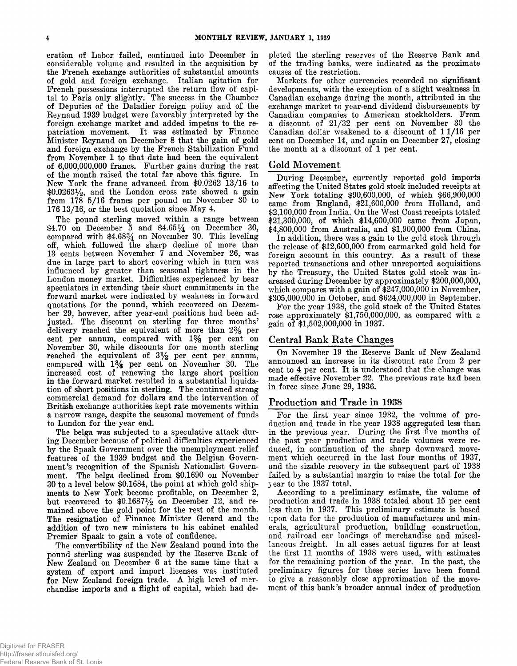**eration of Labor failed, continued into December in considerable volume and resulted in the acquisition by the French exchange authorities of substantial amounts of gold and foreign exchange. Italian agitation for French possessions interrupted the return flow of capital to Paris only slightly. The success in the Chamber of Deputies of the Daladier foreign policy and of the Reynaud 1939 budget were favorably interpreted by the foreign exchange market and added impetus to the repatriation movement. It was estimated by Finance Minister Reynaud on December 8 that the gain of gold and foreign exchange by the French Stabilization Fund from November 1 to that date had been the equivalent of 6,000,000,000 francs. Further gains during the rest of the month raised the total far above this figure. In** New York the franc advanced from \$0.0262 13/16 to **\$0.0263% , and the London cross rate showed a gain** from 178 5/16 francs per pound on November 30 to **176 13/16, or the best quotation since May 4.** 

**The pound sterling moved within a range between** \$4.70 on December 5 and \$4.65<sup>1</sup>/<sub>4</sub> on December 30, compared with \$4.68% on November 30. This leveling **off, which followed the sharp decline of more than 13 cents between November 7 and November 26, was due in large part to short covering which in turn was influenced by greater than seasonal tightness in the London money market. Difficulties experienced by bear speculators in extending their short commitments in the forward market were indicated by weakness in forward quotations for the pound, which recovered on December 29, however, after year-end positions had been adjusted. The discount on sterling for three months ' delivery reached the equivalent of more than** *2 %* **per** cent per annum, compared with 1% per cent on **November 30, while discounts for one month sterling reached the equivalent of 3 % per cent per annum, compared with 1 % per cent on November 30. The increased cost of renewing the large short position in the forward market resulted in a substantial liquidation of short positions in sterling. The continued strong commercial demand for dollars and the intervention of British exchange authorities kept rate movements within a narrow range, despite the seasonal movement of funds to London for the year end.**

**The belga was subjected to a speculative attack during December because of political difficulties experienced by the Spaak Government over the unemployment relief features of the 1939 budget and the Belgian Govern**ment's recognition of the Spanish Nationalist Govern**ment. The belga declined from \$0.1690 on November 30 to a level below \$0.1684, the point at which gold shipments to New York become profitable, on December 2,** but recovered to \$0.1687<sup>1</sup>/<sub>2</sub> on December 12, and re**mained above the gold point for the rest of the month. The resignation of Finance Minister Gerard and the addition of two new ministers to his cabinet enabled Premier Spaak to gain a vote of confidence.**

**The convertibility of the New Zealand pound into the pound sterling was suspended by the Reserve Bank of New Zealand on December 6 at the same time that a system of export and import licenses was instituted for New Zealand foreign trade. A high level of merchandise imports and a flight of capital, which had de-** **pleted the sterling reserves of the Reserve Bank and of the trading banks, were indicated as the proximate causes of the restriction.**

**Markets for other currencies recorded no significant developments, with the exception of a slight weakness in Canadian exchange during the month, attributed in the exchange market to year-end dividend disbursements by Canadian companies to American stockholders. From** a discount of  $21/32$  per cent on November 30 the Canadian dollar weakened to a discount of 11/16 per **cent on December 14, and again on December 27, closing the month at a discount of 1 per cent.**

# **Gold Movement**

**During December, currently reported gold imports affecting the United States gold stock included receipts at New York totaling \$90,600,000, of which \$66,900,000 came from England, \$21,600,000 from Holland, and** \$2,100,000 from India. On the West Coast receipts totaled **\$21,300,000, of which \$14,600,000 came from Japan, \$4,800,000 from Australia, and \$1,900,000 from China.**

**In addition, there was a gain to the gold stock through the release of \$12,600,000 from earmarked gold held for** foreign account in this country. As a result of these **reported transactions and other unreported acquisitions by the Treasury, the United States gold stock was increased during December by approximately \$200,000,000, which compares with a gain of \$247,000,000 in November, \$305,000,000 in October, and \$624,000,000 in September.**

**For the year 1938, the gold stock of the United States rose approximately \$1,750,000,000, as compared with a gain of \$1,502,000,000 in 1937.**

### **Central Bank Rate Changes**

**On November 19 the Reserve Bank of New Zealand announced an increase in its discount rate from 2 per cent to 4 per cent. It is understood that the change was made effective November 22. The previous rate had been in force since June 29, 1936.**

# **Production and Trade in 1938**

**For the first year since 1932, the volume of production and trade in the year 1938 aggregated less than in the previous year. During the first five months of the past year production and trade volumes were reduced, in continuation of the sharp downward movement which occurred in the last four months of 1937, and the sizable recovery in the subsequent part of 1938 failed by a substantial margin to raise the total for the** *j* **ear to the 1937 total.**

**According to a preliminary estimate, the volume of production and trade in 1938 totaled about 15 per cent less than in 1937. This preliminary estimate is based upon data for the production of manufactures and minerals, agricultural production, building construction, and railroad car loadings of merchandise and miscellaneous freight. In all cases actual figures for at least the first 11 months of 1938 were used, with estimates for the remaining portion of the year. In the past, the preliminary figures for these series have been found to give a reasonably close approximation of the movement of this bank's broader annual index of production**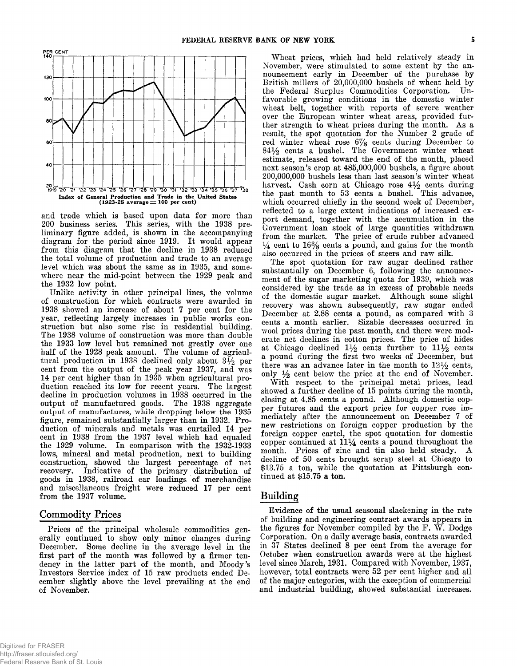

**and trade which is based upon data for more than 200 business series. This series, with the 1938 preliminary figure added, is shown in the accompanying diagram for the period since 1919. It would appear from this diagram that the decline in 1938 reduced the total volume of production and trade to an average level which was about the same as in 1935, and somewhere near the mid-point between the 1929 peak and the 1932 low point.**

**Unlike activity in other principal lines, the volume of construction for which contracts were awarded in 1938 showed an increase of about 7 per cent for the year, reflecting largely increases in public works construction but also some rise in residential building. The 1938 volume of construction was more than double the 1933 low level but remained not greatly over one half of the 1928 peak amount. The volume of agricul**tural production in 1938 declined only about  $3\frac{1}{2}$  per **cent from the output of the peak year 1937, and was 14 per cent higher than in 1935 when agricultural production reached its low for recent years. The largest decline in production volumes in 1938 occurred in the output of manufactured goods. The 1938 aggregate output of manufactures, while dropping below the 1935 figure, remained substantially larger than in 1932. Production of minerals and metals was curtailed 14 per cent in 1938 from the 1937 level which had equaled the 1929 volume. In comparison with the 1932-1933 lows, mineral and metal production, next to building construction, showed the largest percentage of net recovery. Indicative of the primary distribution of goods in 1938, railroad car loadings of merchandise and miscellaneous freight were reduced 17 per cent from the 1937 volume.**

## **Commodity Prices**

**Prices of the principal wholesale commodities generally continued to show only minor changes during December. Some decline in the average level in the first part of the month was followed by a firmer ten**dency in the latter part of the month, and Moody's Investors Service index of 15 raw products ended De**cember slightly above the level prevailing at the end of November.**

**W heat prices, which had held relatively steady in November, were stimulated to some extent by the announcement early in December of the purchase by British millers of 20,000,000 bushels of wheat held by the Federal Surplus Commodities Corporation. Unfavorable growing conditions in the domestic winter wheat belt, together with reports of severe weather over the European winter wheat areas, provided fur**ther strength to wheat prices during the month. As a **result, the spot quotation for the Number 2 grade of red winter wheat rose 6 % cents during December to 8 4 % cents a bushel. The Government winter wheat estimate, released toward the end of the month, placed next season's crop at 485,000,000 bushels, a figure about 200,000,000 bushels less than last season's winter wheat** harvest. Cash corn at Chicago rose  $4\frac{1}{2}$  cents during **the past month to 53 cents a bushel. This advance, which occurred chiefly in the second week of December, reflected to a large extent indications of increased export demand, together with the accumulation in the Government loan stock of large quantities withdrawn from the market. The price of crude rubber advanced**  $\frac{1}{4}$  cent to  $16\%$  cents a pound, and gains for the month **also occurred in the prices of steers and raw silk.**

**The spot quotation for raw sugar declined rather substantially on December 6, following the announcement of the sugar marketing quota for 1939, which was considered by the trade as in excess of probable needs of the domestic sugar market. Although some slight recovery was shown subsequently, raw sugar ended December at 2.88 cents a pound, as compared with 3 cents a month earlier. Sizable decreases occurred in wool prices during the past month, and there were moderate net declines in cotton prices. The price of hides** at Chicago declined  $1\frac{1}{2}$  cents further to  $11\frac{1}{2}$  cents **a pound during the first two weeks of December, but** there was an advance later in the month to  $12\frac{1}{2}$  cents, **only % cent below the price at the end of November.**

With respect to the principal metal prices, lead **showed a further decline of 15 points during the month, closing at 4.85 cents a pound. Although domestic copper futures and the export price for copper rose immediately after the announcement on December 7 of new restrictions on foreign copper production by the foreign copper cartel, the spot quotation for domestic copper continued at 11^4 cents a pound throughout the month. Prices of zinc and tin also held steady. A decline of 50 cents brought scrap steel at Chicago to \$13.75 a ton, while the quotation at Pittsburgh continued at \$15.75 a ton.**

# **B u ild in g**

**Evidence of the usual seasonal slackening in the rate of building and engineering contract awards appears in** the figures for November compiled by the F. W. Dodge **Corporation. On a daily average basis, contracts awarded in 37 States declined 8 per cent from the average for October when construction awards were at the highest level since March, 1931. Compared with November, 1937, however, total contracts were 52 per cent higher and all of the major categories, with the exception of commercial and industrial building, showed substantial increases.**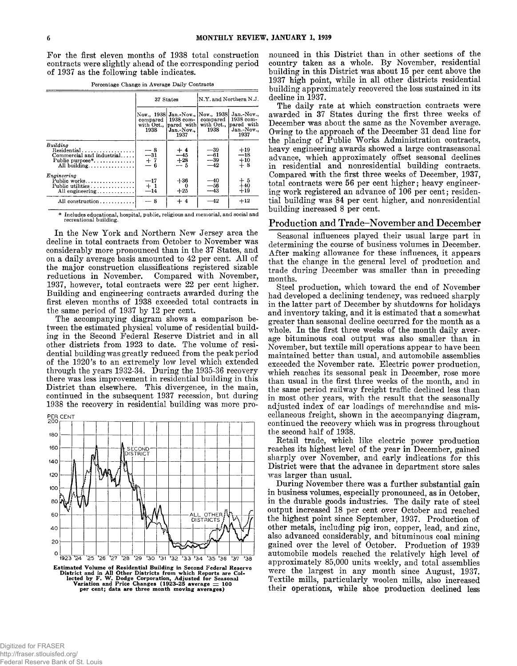**For the first eleven months of 1938 total construction contracts were slightly ahead of the corresponding period of 1937 as the following table indicates.**

**Percentage Change in Average Daily Contracts**

|                                                                                         |                                                      | 37 States                                                                         | N.Y. and Northern N.J.                                  |                                                                      |  |
|-----------------------------------------------------------------------------------------|------------------------------------------------------|-----------------------------------------------------------------------------------|---------------------------------------------------------|----------------------------------------------------------------------|--|
|                                                                                         | compared<br>with Oct.<br>1938                        | Nov., 1938 Jan.-Nov., Nov., 1938<br>1938 com-<br>pared with<br>Jan.-Nov.,<br>1937 | compared<br>1938                                        | Jan.-Nov<br>1938 com-<br>with Oct., pared with<br>Jan. Nov.,<br>1937 |  |
| Building<br>Residential<br>Commercial and industrial<br>Public purpose*<br>All building | $\begin{array}{r} -8 \\ -31 \\ +7 \\ -6 \end{array}$ | $\begin{array}{c} +4.4 \\ -4.5 \\ +28.5 \\ -5.5 \end{array}$                      | $\begin{array}{c} -39 \\ -61 \\ -39 \\ -42 \end{array}$ | $+19$<br>$-18$<br>$^{+10}_{+8}$                                      |  |
| Enoineerin <sub>2</sub><br>Public works<br>Public utilities<br>All engineering          | $\begin{array}{c} -17 \\ +1 \\ -14 \end{array}$      | $+36$<br>$+25$                                                                    | $\frac{-40}{-56}$<br>$\frac{-43}{-43}$                  | $+5$<br>+40<br>$+19$                                                 |  |
| All construction                                                                        | — 8                                                  | $+4$                                                                              | $-42$                                                   | $+12$                                                                |  |

**\* Includes educational, hospital, public, religious and memorial, and social and recreational building.**

**In the New York and Northern New Jersey area the decline in total contracts from October to November was considerably more pronounced than in the 37 States, and** on a daily average basis amounted to 42 per cent. All of **the major construction classifications registered sizable reductions in November. Compared with November, 1937, however, total contracts were 22 per cent higher. Building and engineering contracts awarded during the first eleven months of 1938 exceeded total contracts in the same period of 1937 by 12 per cent.**

**The accompanying diagram shows a comparison between the estimated physical volume of residential building in the Second Federal Reserve District and in all other districts from 1923 to date. The volume of residential building was greatly reduced from the peak period of the 1920's to an extremely low level which extended through the years 1932-34. During the 1935-36 recovery there was less improvement in residential building in this District than elsewhere. This divergence, in the main, continued in the subsequent 1937 recession, but during 1938 the recovery in residential building was more pro-**



**nounced in this District than in other sections of the** country taken as a whole. By November, residential **building in this District was about 15 per cent above the 1937 high point, while in all other districts residential building approximately recovered the loss sustained in its decline in 1937.**

**The daily rate at which construction contracts were awarded in 37 States during the first three weeks of December was about the same as the November average. Owing to the approach of the December 31 dead line for the placing of Public W orks Administration contracts, heavy engineering awards showed a large contraseasonal advance, which approximately offset seasonal declines in residential and nonresidential building contracts. Compared with the first three weeks of December, 1937, total contracts were 56 per cent higher; heavy engineering work registered an advance of 106 per cent; residential building was 84 per cent higher, and nonresidential building increased 8 per cent.**

# **Production and Trade-November and December**

**Seasonal influences played their usual large part in determining the course of business volumes in December. A fter making allowance for these influences, it appears that the change in the general level of production and trade during December was smaller than in preceding months.**

**Steel production, which toward the end of November had developed a declining tendency, was reduced sharply in the latter part of December by shutdowns for holidays and inventory taking, and it is estimated that a somewhat greater than seasonal decline occurred for the month as a whole. In the first three weeks of the month daily average bituminous coal output was also smaller than in November, but textile mill operations appear to have been maintained better than usual, and automobile assemblies exceeded the November rate. Electric power production, which reaches its seasonal peak in December, rose more than usual in the first three weeks of the month, and in the same period railway freight traffic declined less than in most other years, with the result that the seasonally adjusted index of car loadings of merchandise and miscellaneous freight, shown in the accompanying diagram, continued the recovery which was in progress throughout the second half of 1938.**

**Retail trade, which like electric power production reaches its highest level of the year in December, gained sharply over November, and early indications for this District were that the advance in department store sales was larger than usual.**

**During November there was a further substantial gain in business volumes, especially pronounced, as in October, in the durable goods industries. The daily rate of steel output increased 18 per cent over October and reached the highest point since September, 1937. Production of other metals, including pig iron, copper, lead, and zinc, also advanced considerably, and bituminous coal mining gained over the level of October. Production of 1939 automobile models reached the relatively high level of approximately 85,000 units weekly, and total assemblies were the largest in any month since August, 1937. Textile mills, particularly woolen mills, also increased their operations, while shoe production declined less**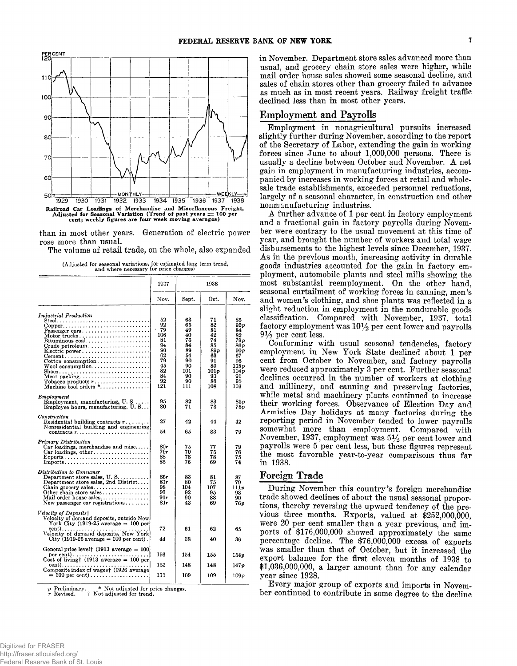

**than in most other years. Generation of electric power rose more than usual.**

**The volume of retail trade, on the whole, also expanded**

|  | (Adjusted for seasonal variations, for estimated long term trend, |  |  |  |
|--|-------------------------------------------------------------------|--|--|--|
|  | and where necessary for price changes)                            |  |  |  |

|                                                                                                                                                                                                                                                                                                                                                                                                                                                                                                                                     | 1937                                                                               | 1938                                                                               |                                                                                       |                                                                                              |  |  |  |
|-------------------------------------------------------------------------------------------------------------------------------------------------------------------------------------------------------------------------------------------------------------------------------------------------------------------------------------------------------------------------------------------------------------------------------------------------------------------------------------------------------------------------------------|------------------------------------------------------------------------------------|------------------------------------------------------------------------------------|---------------------------------------------------------------------------------------|----------------------------------------------------------------------------------------------|--|--|--|
|                                                                                                                                                                                                                                                                                                                                                                                                                                                                                                                                     | Nov.                                                                               | Sept.                                                                              | Oct.                                                                                  | Nov.                                                                                         |  |  |  |
| Industrial Production<br>$Copper \ldots \ldots \ldots \ldots \ldots \ldots \ldots \ldots$<br>Passenger cars<br>$\operatorname{Motor}\, \operatorname{trueks}\,.\,.\,.\,.\,.\,.\,.\,.\,.\,.\,.\,.\,.\,.\,.\,.\,.\,.\,$<br>Bituminous coal<br>Crude petroleum<br>Electric power<br>Cotton consumption<br>$\rm Wood\,\, consumption \dots \dots \dots \dots \dots \dots$<br>Meat $\texttt{packing} \dots \dots \dots \dots \dots \dots \dots$<br>Tobacco products $r_1, \ldots, r_r, \ldots, \ldots$<br>$\text{Machine tool orders}$ * | 52<br>92<br>79<br>106<br>81<br>94<br>90<br>62<br>79<br>45<br>82<br>84<br>92<br>121 | 63<br>65<br>49<br>40<br>76<br>84<br>89<br>54<br>90<br>90<br>101<br>90<br>90<br>111 | 71<br>82<br>81<br>42<br>74<br>85<br>89 p<br>63<br>91<br>89<br>101p<br>90<br>86<br>108 | 85<br>92 v<br>84<br>82<br>79p<br>86 v<br>90 v<br>67<br>96<br>118p<br>104p<br>91<br>95<br>103 |  |  |  |
| Employment<br>$Employment$ , manufacturing, $U, S, \ldots$ .<br>Employee hours, manufacturing, U.S                                                                                                                                                                                                                                                                                                                                                                                                                                  | 95<br>80                                                                           | 82<br>71                                                                           | 83<br>73                                                                              | 85 p<br>75 p                                                                                 |  |  |  |
| Construction<br>Residential building contracts r<br>Nonresidential building and engineering<br>contracts $r_{1}, \ldots, r_{k}, \ldots, r_{k}, \ldots, r_{k}, \ldots$                                                                                                                                                                                                                                                                                                                                                               | 27<br>54                                                                           | 42<br>65                                                                           | 44<br>83                                                                              | 42<br>79                                                                                     |  |  |  |
| Primary Distribution<br>Car loadings, merchandise and misc<br>Car loadings, other<br>$Exports \ldots \ldots \ldots \ldots \ldots \ldots \ldots \ldots \ldots$                                                                                                                                                                                                                                                                                                                                                                       | 80r<br>79r<br>88<br>85                                                             | 75<br>70<br>78<br>76                                                               | 77<br>75<br>78<br>69                                                                  | 79<br>76<br>75<br>74                                                                         |  |  |  |
| Distribution to Consumer<br>Department store sales, U.S<br>Department store sales, 2nd District<br>Chain grocery sales<br>Other chain store sales<br>Mail order house sales<br>New passenger car registrations                                                                                                                                                                                                                                                                                                                      | 86r<br>81r<br>98<br>93<br>91r<br>81r                                               | 83<br>80<br>104<br>92<br>90<br>43                                                  | 81<br>75<br>107<br>95<br>88<br>69                                                     | 87<br>79<br>111p<br>93<br>90<br>76 p                                                         |  |  |  |
| Velocity of Deposits†<br>Velocity of demand deposits, outside New.<br>York City (1919-25 average $= 100$ per<br>Velocity of demand deposits, New York<br>$City$ (1919-25 average = 100 per cent).                                                                                                                                                                                                                                                                                                                                   | 72<br>44                                                                           | 61<br>38                                                                           | 62<br>40                                                                              | 65<br>36                                                                                     |  |  |  |
| General price level $(1913$ average = 100                                                                                                                                                                                                                                                                                                                                                                                                                                                                                           | 156                                                                                | 154                                                                                | 155                                                                                   | 154p                                                                                         |  |  |  |
| cent) <b></b><br>Composite index of wages† (1926 average                                                                                                                                                                                                                                                                                                                                                                                                                                                                            | 152                                                                                | 148                                                                                | 148                                                                                   | 147p                                                                                         |  |  |  |
| $= 100$ per cent)                                                                                                                                                                                                                                                                                                                                                                                                                                                                                                                   | 111                                                                                | 109                                                                                | 109                                                                                   | 109p                                                                                         |  |  |  |

*p* **Preliminary. \* Not adjusted for price changes.** *r* **Revised. t Not adjusted for trend.**

**in November. Department store sales advanced more than usual, and grocery chain store sales were higher, while mail order house sales showed some seasonal decline, and sales of chain stores other than grocery failed to advance as much as in most recent years. Railway freight traffic declined less than in most other years.**

# **Employment and Payrolls**

**Employment in nonagricultural pursuits increased slightly further during November, according to the report of the Secretary of Labor, extending the gain in working forces since June to about 1,000,000 persons. There is usually a decline between October and November. A net gain in employment in manufacturing industries, accompanied by increases in working forces at retail and wholesale trade establishments, exceeded personnel reductions, largely of a seasonal character, in construction and other nonm anufacturing industries.**

**A further advance of 1 per cent in factory employment and a fractional gain in factory payrolls during November were contrary to the usual movement at this time of year, and brought the number of workers and total wage disbursements to the highest levels since December, 1937. A s in the previous month, increasing activity in durable goods industries accounted for the gain in factory employment, automobile plants and steel mills showing the most substantial reemployment. On the other hand,** seasonal curtailment of working forces in canning, men's **and women's clothing, and shoe plants was reflected in a slight reduction in employment in the nondurable goods classification. Compared with November, 1937, total** factory employment was  $10\frac{1}{2}$  per cent lower and payrolls  $9\frac{1}{2}$  per cent less.

**Conforming with usual seasonal tendencies, factory employment in New York State declined about 1 per cent from October to November, and factory payrolls were reduced approximately 3 per cent. Further seasonal declines occurred in the number of workers at clothing and millinery, and canning and preserving factories, while metal and machinery plants continued to increase** their working forces. Observance of Election Day and Armistice Day holidays at many factories during the **reporting period in November tended to lower payrolls somewhat more than employment. Compared with November, 1937, employment was 5^2 per cent lower and payrolls were 5 per cent less, but these figures represent the most favorable year-to-year comparisons thus far in 1938.**

# **Foreign Trade**

**During November this country's foreign merchandise trade showed declines of about the usual seasonal proportions, thereby reversing the upward tendency of the pre**vious three months. Exports, valued at \$252,000,000. **were 20 per cent smaller than a year previous, and imports of \$176,000,000 showed approximately the same percentage decline. The \$76,000,000 excess of exports was smaller than that of October, but it increased the export balance for the first eleven months of 1938 to \$1,036,000,000, a larger amount than for any calendar year since 1928.**

**Every major group of exports and imports in November continued to contribute in some degree to the decline**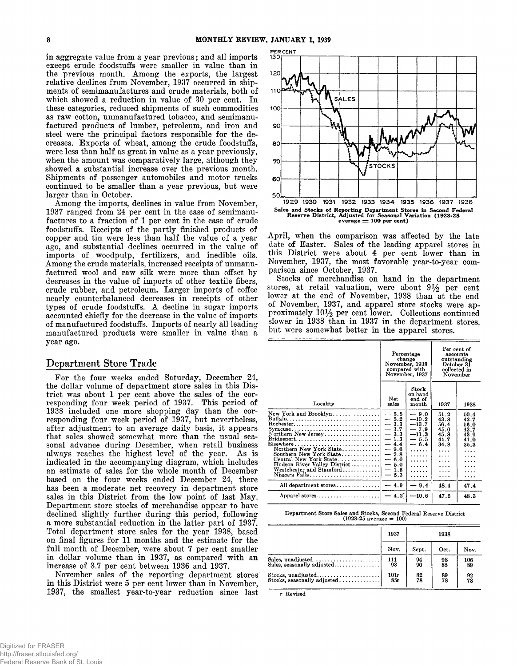**in aggregate value from a year previous; and all imports except crude foodstuffs were smaller in value than in the previous month. Am ong the exports, the largest relative declines from November, 1937 occurred in shipments of semimanufactures and crude materials, both of which showed a reduction in value of 30 per cent. In these categories, reduced shipments of such commodities as raw cotton, unmanufactured tobacco, and semimanufactured products of lumber, petroleum, and iron and steel were the principal factors responsible for the decreases. Exports of wheat, among the crude foodstuffs, were less than half as great in value as a year previously, when the amount was comparatively large, although they showed a substantial increase over the previous month. Shipments of passenger automobiles and motor trucks continued to be smaller than a year previous, but were larger than in October.**

**Am ong the imports, declines in value from November, 1937 ranged from 24 per cent in the case of semimanufactures to a fraction of 1 per cent in the case of crude foodstuffs. Receipts of the partly finished products of copper and tin were less than half the value of a year ago, and substantial declines occurred in the value of imports of woodpulp, fertilizers, and inedible oils. Am ong the crude materials, increased receipts of unmanufactured wool and raw silk were more than offset by decreases in the value of imports of other textile fibers, crude rubber, and petroleum. Larger imports of coffee nearly counterbalanced decreases in receipts of other types of crude foodstuffs. A decline in sugar imports accounted chiefly for the decrease in the value of imports of manufactured foodstuffs. Imports of nearly all leading manufactured products were smaller in value than a year ago.**

# **Department Store Trade**

**For the four weeks ended Saturday, December 24,** the dollar volume of department store sales in this Dis**trict was about 1 per cent above the sales of the corresponding four week period of 1937. This period of 1938 included one more shopping day than the corresponding four week period of 1937, but nevertheless, after adjustment to an average daily basis, it appears that sales showed somewhat more than the usual seasonal advance during December, when retail business** always reaches the highest level of the year. As is **indicated in the accompanying diagram, which includes an estimate of sales for the whole month of December based on the four weeks ended December 24, there has been a moderate net recovery in department store sales in this District from the low point of last May. Department store stocks of merchandise appear to have declined slightly further during this period, following a more substantial reduction in the latter part of 1937. Total department store sales for the year 1938, based on final figures for 11 months and the estimate for the** full month of December, were about 7 per cent smaller **in dollar volume than in 1937, as compared with an increase of 3.7 per cent between 1936 and 1937.**

**November sales of the reporting department stores in this District were 5 per cent lower than in November, 1937, the smallest year-to-year reduction since last**



**April, when the comparison was affected by the late date of Easter. Sales of the leading apparel stores in this District were about 4 per cent lower than in November, 1937, the most favorable year-to-year comparison since October, 1937.**

**Stocks of merchandise on hand in the department** stores, at retail valuation, were about  $9\frac{1}{2}$  per cent **lower at the end of November, 1938 than at the end of November, 1937, and apparel store stocks were ap**proximately  $10\frac{1}{2}$  per cent lower. Collections continued **slower in 1938 than in 1937 in the department stores, but were somewhat better in the apparel stores.**

|                                                                                                                                                                                                                                                                                                                                                                                                  | change                                                                                                                         | Percentage<br>November, 1938<br>compared with<br>November, 1937                                     | Per cent of<br>accounts<br>outstanding<br>October 31<br>collected in<br>November          |                                                                          |
|--------------------------------------------------------------------------------------------------------------------------------------------------------------------------------------------------------------------------------------------------------------------------------------------------------------------------------------------------------------------------------------------------|--------------------------------------------------------------------------------------------------------------------------------|-----------------------------------------------------------------------------------------------------|-------------------------------------------------------------------------------------------|--------------------------------------------------------------------------|
| Locality                                                                                                                                                                                                                                                                                                                                                                                         | Net<br>sales                                                                                                                   | Stock<br>on hand<br>end of<br>month                                                                 | 1937                                                                                      | 1938                                                                     |
| New York and Brooklyn<br>Rochester<br>Syracuse<br>Northern New Jersey<br>$\text{Bridgeport} \dots \dots \dots \dots \dots \dots \dots \dots \dots$<br>${\rm Elsewhere} \dots \dots \dots \dots \dots \dots \dots \dots \dots \dots$<br>Northern New York State<br>Southern New York State<br>Central New York State<br>Hudson River Valley District<br>Westchester and Stamford<br>Niagara Falls | $-5.5$<br>$-5.2$<br>$-3.3$<br>$-3.7$<br>$-3.3$<br>$-1.3$<br>$-4.4$<br>$-9.6$<br>$-2.8$<br>$-6.0$<br>$-5.0$<br>$-1.6$<br>$-5.3$ | $-9.0$<br>$-10.2$<br>$-13.7$<br>$-7.9$<br>$-11.3$<br>$-5.5$<br>$-6.4$<br>.<br>.<br>.<br>.<br>.<br>. | 51.2<br>43.8<br>56.4<br>45.0<br>45.8<br>41.7<br>34.8<br>.<br>.<br>$\cdots$<br>.<br>.<br>. | 50.4<br>42.7<br>56.0<br>43.7<br>43.9<br>41.0<br>35.3<br>.<br>.<br>.<br>. |
| All department stores                                                                                                                                                                                                                                                                                                                                                                            | $-4.9$                                                                                                                         | $-9.4$                                                                                              | 48.4                                                                                      | 47.4                                                                     |
| Apparel stores                                                                                                                                                                                                                                                                                                                                                                                   | $-4.2^{^{-}}$                                                                                                                  | $-10.6$                                                                                             | 47.6                                                                                      | 48.3                                                                     |
|                                                                                                                                                                                                                                                                                                                                                                                                  |                                                                                                                                |                                                                                                     |                                                                                           |                                                                          |

**Department Store Sales and Stocks, Second Federal Reserve District (1923-25 average \*\* 100)**

|                                                  | 1937 | 1938  |                     |      |  |
|--------------------------------------------------|------|-------|---------------------|------|--|
|                                                  | Nov. | Sept. | Oct.                | Nov. |  |
| Sales, unadjusted                                | 111  | 94    | $\substack{98\\85}$ | 106  |  |
| Sales, seasonally adjusted                       | 93   | 90    |                     | 89   |  |
| $Stocks, unadjusted \ldots \ldots \ldots \ldots$ | 101r | 82    | $\frac{89}{78}$     | 92   |  |
| Stocks, seasonally adjusted                      | 85r  | 78    |                     | 78   |  |

r Revised